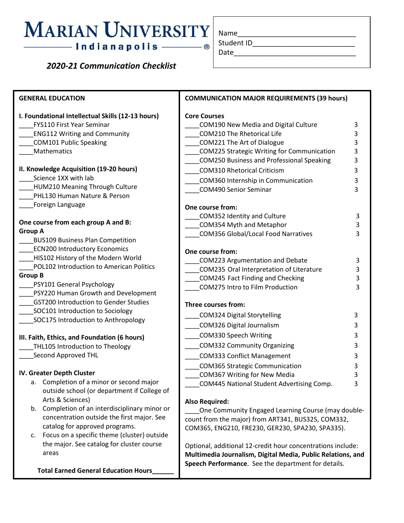## **MARIAN UNIVERSITY** - ®

## *2020-21 Communication Checklist*

| Name       |  |  |
|------------|--|--|
| Student ID |  |  |

Date\_

| <b>GENERAL EDUCATION</b>                                                                                                                                                                                                                                                                                                                                                                                                                                                                                                                                                                                                                                                                                                                                                                                                                                                                                                                                           | <b>COMMUNICATION MAJOR REQUIREMENTS (39 hours)</b>                                                                                                                                                                                                                                                                                                                                                                                                                                                                                                                                                                                                                                                                                                                                                                                                                                                                                                                                                                                          |  |  |
|--------------------------------------------------------------------------------------------------------------------------------------------------------------------------------------------------------------------------------------------------------------------------------------------------------------------------------------------------------------------------------------------------------------------------------------------------------------------------------------------------------------------------------------------------------------------------------------------------------------------------------------------------------------------------------------------------------------------------------------------------------------------------------------------------------------------------------------------------------------------------------------------------------------------------------------------------------------------|---------------------------------------------------------------------------------------------------------------------------------------------------------------------------------------------------------------------------------------------------------------------------------------------------------------------------------------------------------------------------------------------------------------------------------------------------------------------------------------------------------------------------------------------------------------------------------------------------------------------------------------------------------------------------------------------------------------------------------------------------------------------------------------------------------------------------------------------------------------------------------------------------------------------------------------------------------------------------------------------------------------------------------------------|--|--|
| I. Foundational Intellectual Skills (12-13 hours)<br>FYS110 First Year Seminar<br><b>ENG112 Writing and Community</b><br><b>COM101 Public Speaking</b><br>Mathematics<br>II. Knowledge Acquisition (19-20 hours)<br>Science 1XX with lab<br>HUM210 Meaning Through Culture<br>PHL130 Human Nature & Person                                                                                                                                                                                                                                                                                                                                                                                                                                                                                                                                                                                                                                                         | <b>Core Courses</b><br>COM190 New Media and Digital Culture<br>3<br><b>COM210 The Rhetorical Life</b><br>3<br>COM221 The Art of Dialogue<br>3<br>COM225 Strategic Writing for Communication<br>3<br>COM250 Business and Professional Speaking<br>3<br><b>COM310 Rhetorical Criticism</b><br>3<br>COM360 Internship in Communication<br>3<br>3<br><b>COM490 Senior Seminar</b>                                                                                                                                                                                                                                                                                                                                                                                                                                                                                                                                                                                                                                                               |  |  |
| Foreign Language<br>One course from each group A and B:<br><b>Group A</b><br><b>BUS109 Business Plan Competition</b><br><b>ECN200 Introductory Economics</b><br>HIS102 History of the Modern World<br>POL102 Introduction to American Politics<br><b>Group B</b><br>PSY101 General Psychology<br>PSY220 Human Growth and Development<br><b>GST200 Introduction to Gender Studies</b><br>SOC101 Introduction to Sociology<br>SOC175 Introduction to Anthropology<br>III. Faith, Ethics, and Foundation (6 hours)<br>THL105 Introduction to Theology<br>Second Approved THL<br>IV. Greater Depth Cluster<br>a. Completion of a minor or second major<br>outside school (or department if College of<br>Arts & Sciences)<br>b. Completion of an interdisciplinary minor or<br>concentration outside the first major. See<br>catalog for approved programs.<br>Focus on a specific theme (cluster) outside<br>c.<br>the major. See catalog for cluster course<br>areas | One course from:<br>COM352 Identity and Culture<br>3<br>COM354 Myth and Metaphor<br>3<br><b>COM356 Global/Local Food Narratives</b><br>3<br>One course from:<br>COM223 Argumentation and Debate<br>3<br>COM235 Oral Interpretation of Literature<br>3<br>3<br>COM245 Fact Finding and Checking<br>COM275 Intro to Film Production<br>3<br>Three courses from:<br><b>COM324 Digital Storytelling</b><br>3<br>COM326 Digital Journalism<br>COM330 Speech Writing<br><b>COM332 Community Organizing</b><br>COM333 Conflict Management<br><b>COM365 Strategic Communication</b><br>COM367 Writing for New Media<br>COM445 National Student Advertising Comp.<br>3<br><b>Also Required:</b><br>One Community Engaged Learning Course (may double-<br>count from the major) from ART341, BUS325, COM332,<br>COM365, ENG210, FRE230, GER230, SPA230, SPA335).<br>Optional, additional 12-credit hour concentrations include:<br>Multimedia Journalism, Digital Media, Public Relations, and<br>Speech Performance. See the department for details. |  |  |
| <b>Total Earned General Education Hours</b>                                                                                                                                                                                                                                                                                                                                                                                                                                                                                                                                                                                                                                                                                                                                                                                                                                                                                                                        |                                                                                                                                                                                                                                                                                                                                                                                                                                                                                                                                                                                                                                                                                                                                                                                                                                                                                                                                                                                                                                             |  |  |